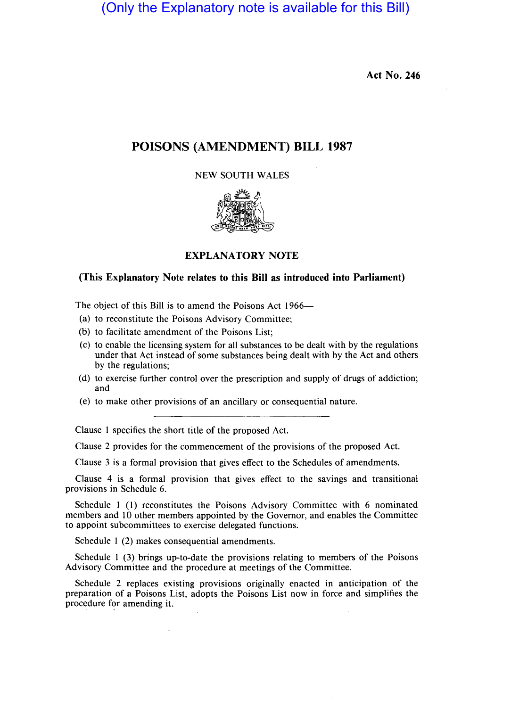(Only the Explanatory note is available for this Bill)

**Act No. 246** 

### **POISONS (AMENDMENT) BILL 1987**

NEW SOUTH WALES



#### **EXPLANATORY NOTE**

### **(This Explanatory Note relates to this Bill as introduced into Parliament)**

The object of this Bill is to amend the Poisons Act 1966-

- (a) to reconstitute the Poisons Advisory Committee;
- (b) to facilitate amendment of the Poisons List;
- (c) to enable the licensing system for all substances to be dealt with by the regulations under that Act instead of some substances being dealt with by the Act and others by the regulations;
- (d) to exercise further control over the prescription and supply of drugs of addiction; and
- (e) to make other provisions of an ancillary or consequential nature.

Clause 1 specifies the short title of the proposed Act.

Clause 2 provides for the commencement of the provisions of the proposed Act.

Clause 3 is a formal provision that gives effect to the Schedules of amendments.

Clause 4 is a formal provision that gives effect to the savings and transitional provisions in Schedule 6.

Schedule 1 (1) reconstitutes the Poisons Advisory Committee with 6 nominated members and 10 other members appointed by the Governor, and enables the Committee to appoint subcommittees to exercise delegated functions.

Schedule 1 (2) makes consequential amendments.

Schedule 1 (3) brings up-to-date the provisions relating to members of the Poisons Advisory Committee and the procedure at meetings of the Committee.

Schedule 2 replaces existing provisions originally enacted in anticipation of the preparation of a Poisons List, adopts the Poisons List now in force and simplifies the procedure for amending it.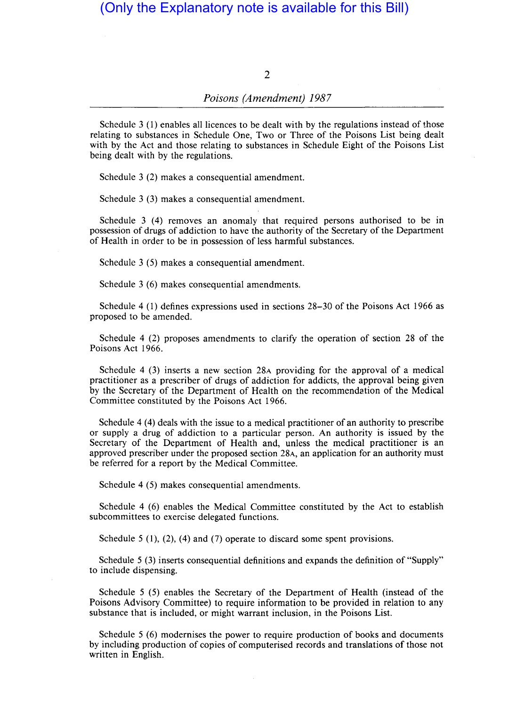## (Only the Explanatory note is available for this Bill)

### 2

### *Poisons (Amendment) 1987*

Schedule 3 (1) enables all licences to be dealt with by the regulations instead of those relating to substances in Schedule One, Two or Three of the Poisons List being dealt with by the Act and those relating to substances in Schedule Eight of the Poisons List being dealt with by the regulations.

Schedule 3 (2) makes a consequential amendment.

Schedule 3 (3) makes a consequential amendment.

Schedule 3 (4) removes an anomaly that required persons authorised to be in possession of drugs of addiction to have the authority of the Secretary of the Department of Health in order to be in possession of less harmful substances.

Schedule 3 (5) makes a consequential amendment.

Schedule 3 (6) makes consequential amendments.

Schedule 4 (1) defines expressions used in sections 28-30 of the Poisons Act 1966 as proposed to be amended.

Schedule 4 (2) proposes amendments to clarify the operation of section 28 of the Poisons Act 1966.

Schedule 4 (3) inserts a new section 28A providing for the approval of a medical practitioner as a prescriber of drugs of addiction for addicts, the approval being given by the Secretary of the Department of Health on the recommendation of the Medical Committee constituted by the Poisons Act 1966.

Schedule 4 (4) deals with the issue to a medical practitioner of an authority to prescribe or supply a drug of addiction to a particular person. An authority is issued by the Secretary of the Department of Health and, unless the medical practitioner is an approved prescriber under the proposed section 28A, an application for an authority must be referred for a report by the Medical Committee.

Schedule 4 (5) makes consequential amendments.

Schedule 4 (6) enables the Medical Committee constituted by the Act to establish subcommittees to exercise delegated functions.

Schedule 5 (1), (2), (4) and (7) operate to discard some spent provisions.

Schedule 5 (3) inserts consequential definitions and expands the definition of "Supply" to include dispensing.

Schedule 5 (5) enables the Secretary of the Department of Health (instead of the Poisons Advisory Committee) to require information to be provided in relation to any substance that is included, or might warrant inclusion, in the Poisons List.

Schedule 5 (6) modernises the power to require production of books and documents by including production of copies of computerised records and translations of those not written in English.